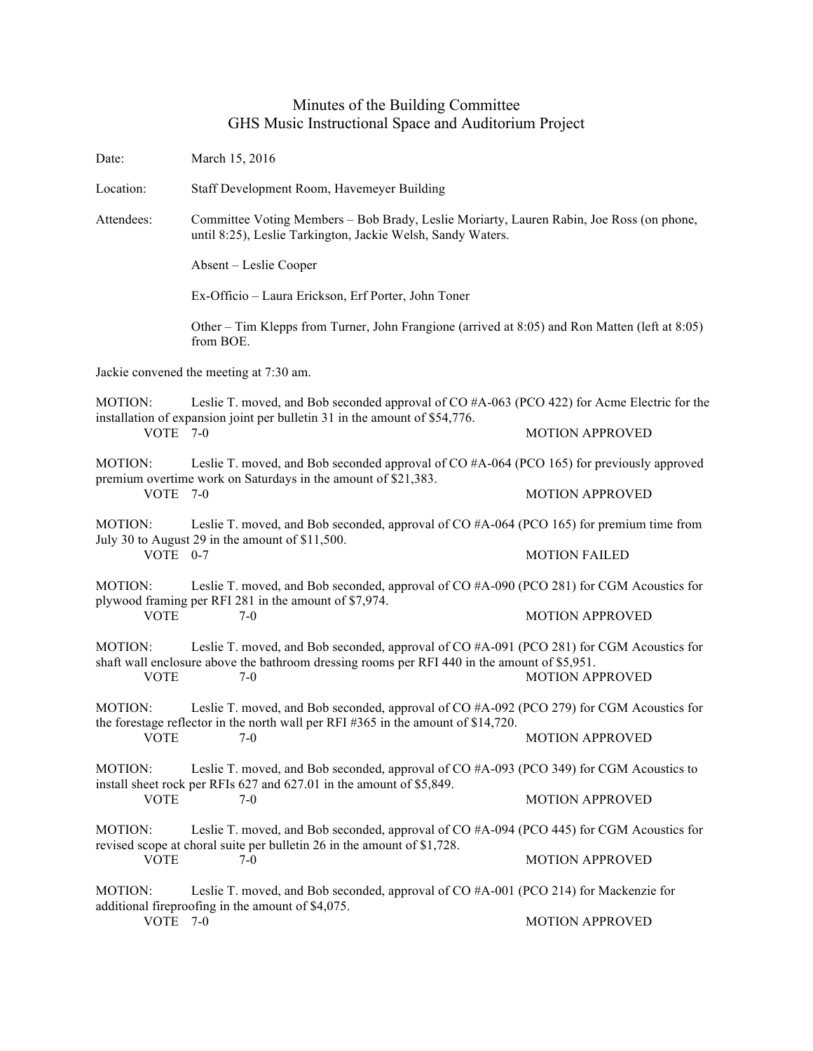## Minutes of the Building Committee GHS Music Instructional Space and Auditorium Project

| Date:                                                                     | March 15, 2016                                                                                                                                                                                    |                        |  |
|---------------------------------------------------------------------------|---------------------------------------------------------------------------------------------------------------------------------------------------------------------------------------------------|------------------------|--|
| Location:                                                                 | Staff Development Room, Havemeyer Building                                                                                                                                                        |                        |  |
| Attendees:                                                                | Committee Voting Members - Bob Brady, Leslie Moriarty, Lauren Rabin, Joe Ross (on phone,<br>until 8:25), Leslie Tarkington, Jackie Welsh, Sandy Waters.                                           |                        |  |
|                                                                           | Absent - Leslie Cooper                                                                                                                                                                            |                        |  |
|                                                                           | Ex-Officio - Laura Erickson, Erf Porter, John Toner                                                                                                                                               |                        |  |
|                                                                           | Other – Tim Klepps from Turner, John Frangione (arrived at 8:05) and Ron Matten (left at 8:05)<br>from BOE.                                                                                       |                        |  |
| Jackie convened the meeting at 7:30 am.                                   |                                                                                                                                                                                                   |                        |  |
| <b>MOTION:</b>                                                            | Leslie T. moved, and Bob seconded approval of CO $#A-063$ (PCO 422) for Acme Electric for the<br>installation of expansion joint per bulletin 31 in the amount of \$54,776.                       |                        |  |
| VOTE 7-0                                                                  |                                                                                                                                                                                                   | <b>MOTION APPROVED</b> |  |
| MOTION:                                                                   | Leslie T. moved, and Bob seconded approval of CO $#A$ -064 (PCO 165) for previously approved                                                                                                      |                        |  |
| premium overtime work on Saturdays in the amount of \$21,383.<br>VOTE 7-0 |                                                                                                                                                                                                   | <b>MOTION APPROVED</b> |  |
| MOTION:                                                                   | Leslie T. moved, and Bob seconded, approval of CO $#A-064$ (PCO 165) for premium time from<br>July 30 to August 29 in the amount of \$11,500.                                                     |                        |  |
| VOTE 0-7                                                                  |                                                                                                                                                                                                   | <b>MOTION FAILED</b>   |  |
| <b>MOTION:</b>                                                            | Leslie T. moved, and Bob seconded, approval of CO #A-090 (PCO 281) for CGM Acoustics for<br>plywood framing per RFI 281 in the amount of \$7,974.<br>$7 - 0$                                      |                        |  |
| <b>VOTE</b>                                                               |                                                                                                                                                                                                   | <b>MOTION APPROVED</b> |  |
| <b>MOTION:</b><br><b>VOTE</b>                                             | Leslie T. moved, and Bob seconded, approval of CO #A-091 (PCO 281) for CGM Acoustics for<br>shaft wall enclosure above the bathroom dressing rooms per RFI 440 in the amount of \$5,951.<br>$7-0$ | <b>MOTION APPROVED</b> |  |
| <b>MOTION:</b>                                                            | Leslie T. moved, and Bob seconded, approval of CO #A-092 (PCO 279) for CGM Acoustics for                                                                                                          |                        |  |
|                                                                           | the forestage reflector in the north wall per RFI $#365$ in the amount of \$14,720.<br>VOTE 7-0                                                                                                   | <b>MOTION APPROVED</b> |  |
| MOTION:                                                                   | Leslie T. moved, and Bob seconded, approval of CO #A-093 (PCO 349) for CGM Acoustics to<br>install sheet rock per RFIs 627 and 627.01 in the amount of \$5,849.<br>$7 - 0$                        |                        |  |
| <b>VOTE</b>                                                               |                                                                                                                                                                                                   | <b>MOTION APPROVED</b> |  |
| MOTION:                                                                   | Leslie T. moved, and Bob seconded, approval of CO #A-094 (PCO 445) for CGM Acoustics for<br>revised scope at choral suite per bulletin 26 in the amount of \$1,728.<br>$7-0$                      |                        |  |
| <b>VOTE</b>                                                               |                                                                                                                                                                                                   | <b>MOTION APPROVED</b> |  |
| MOTION:                                                                   | Leslie T. moved, and Bob seconded, approval of CO #A-001 (PCO 214) for Mackenzie for                                                                                                              |                        |  |
| VOTE 7-0                                                                  | additional fireproofing in the amount of \$4,075.                                                                                                                                                 | <b>MOTION APPROVED</b> |  |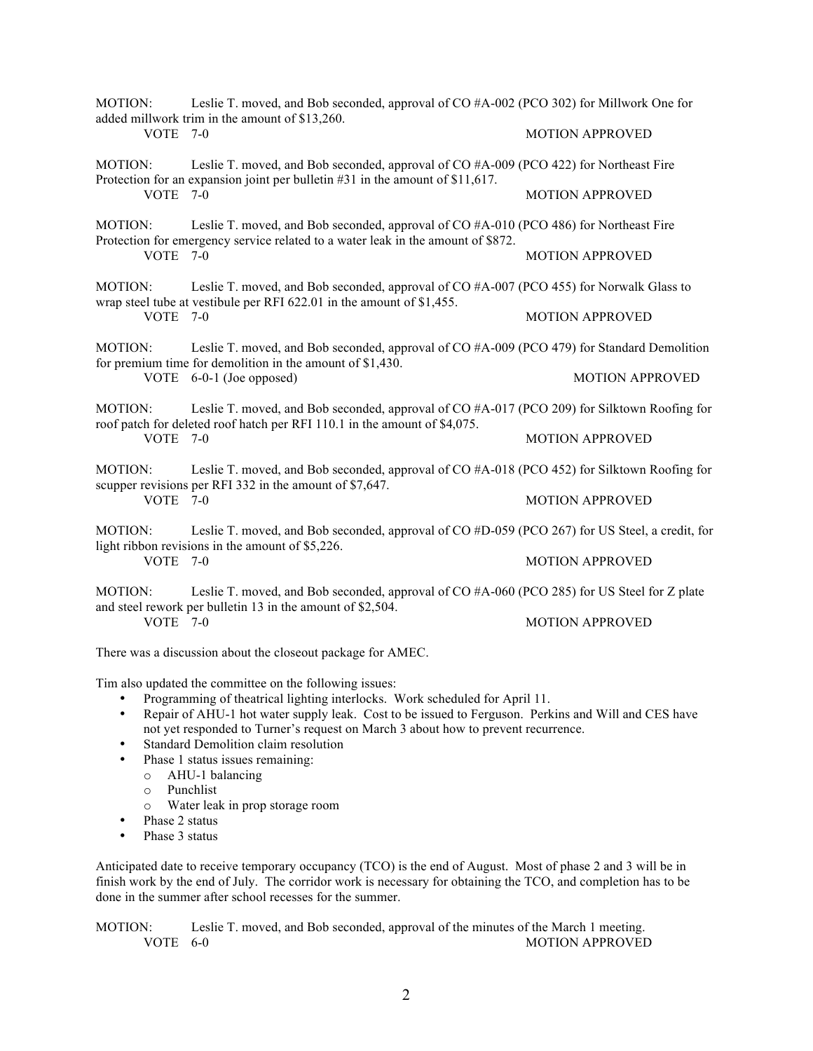| MOTION:                    | Leslie T. moved, and Bob seconded, approval of CO $#A-002$ (PCO 302) for Millwork One for<br>added millwork trim in the amount of \$13,260.                                         |                        |
|----------------------------|-------------------------------------------------------------------------------------------------------------------------------------------------------------------------------------|------------------------|
| <b>VOTE 7-0</b>            |                                                                                                                                                                                     | <b>MOTION APPROVED</b> |
| MOTION:<br>VOTE $7-0$      | Leslie T. moved, and Bob seconded, approval of CO #A-009 (PCO 422) for Northeast Fire<br>Protection for an expansion joint per bulletin #31 in the amount of \$11,617.              |                        |
|                            |                                                                                                                                                                                     | <b>MOTION APPROVED</b> |
| <b>MOTION:</b>             | Leslie T. moved, and Bob seconded, approval of CO #A-010 (PCO 486) for Northeast Fire<br>Protection for emergency service related to a water leak in the amount of \$872.           |                        |
| VOTE $7-0$                 |                                                                                                                                                                                     | <b>MOTION APPROVED</b> |
| MOTION:<br><b>VOTE</b> 7-0 | Leslie T. moved, and Bob seconded, approval of CO #A-007 (PCO 455) for Norwalk Glass to<br>wrap steel tube at vestibule per RFI 622.01 in the amount of \$1,455.                    |                        |
|                            |                                                                                                                                                                                     | <b>MOTION APPROVED</b> |
| MOTION:                    | Leslie T. moved, and Bob seconded, approval of CO #A-009 (PCO 479) for Standard Demolition<br>for premium time for demolition in the amount of \$1,430.<br>VOTE 6-0-1 (Joe opposed) |                        |
|                            |                                                                                                                                                                                     | <b>MOTION APPROVED</b> |
|                            |                                                                                                                                                                                     |                        |
| MOTION:                    | Leslie T. moved, and Bob seconded, approval of CO #A-017 (PCO 209) for Silktown Roofing for                                                                                         |                        |
| VOTE 7-0                   | roof patch for deleted roof hatch per RFI 110.1 in the amount of \$4,075.                                                                                                           | <b>MOTION APPROVED</b> |
| <b>MOTION:</b>             | Leslie T. moved, and Bob seconded, approval of CO #A-018 (PCO 452) for Silktown Roofing for                                                                                         |                        |
| VOTE 7-0                   | scupper revisions per RFI 332 in the amount of \$7,647.                                                                                                                             | <b>MOTION APPROVED</b> |
| MOTION:                    | Leslie T. moved, and Bob seconded, approval of CO #D-059 (PCO 267) for US Steel, a credit, for                                                                                      |                        |
| $VOTE$ 7-0                 | light ribbon revisions in the amount of \$5,226.                                                                                                                                    | <b>MOTION APPROVED</b> |
| MOTION:                    | Leslie T. moved, and Bob seconded, approval of CO #A-060 (PCO 285) for US Steel for Z plate<br>and steel rework per bulletin 13 in the amount of \$2,504.                           |                        |

There was a discussion about the closeout package for AMEC.

Tim also updated the committee on the following issues:

- Programming of theatrical lighting interlocks. Work scheduled for April 11.
- Repair of AHU-1 hot water supply leak. Cost to be issued to Ferguson. Perkins and Will and CES have not yet responded to Turner's request on March 3 about how to prevent recurrence.
- Standard Demolition claim resolution<br>• Phase 1 status issues remaining:
- Phase 1 status issues remaining:
	- o AHU-1 balancing
	- o Punchlist
	- o Water leak in prop storage room
- Phase 2 status
- Phase 3 status

Anticipated date to receive temporary occupancy (TCO) is the end of August. Most of phase 2 and 3 will be in finish work by the end of July. The corridor work is necessary for obtaining the TCO, and completion has to be done in the summer after school recesses for the summer.

MOTION: Leslie T. moved, and Bob seconded, approval of the minutes of the March 1 meeting. VOTE 6-0 MOTION APPROVED